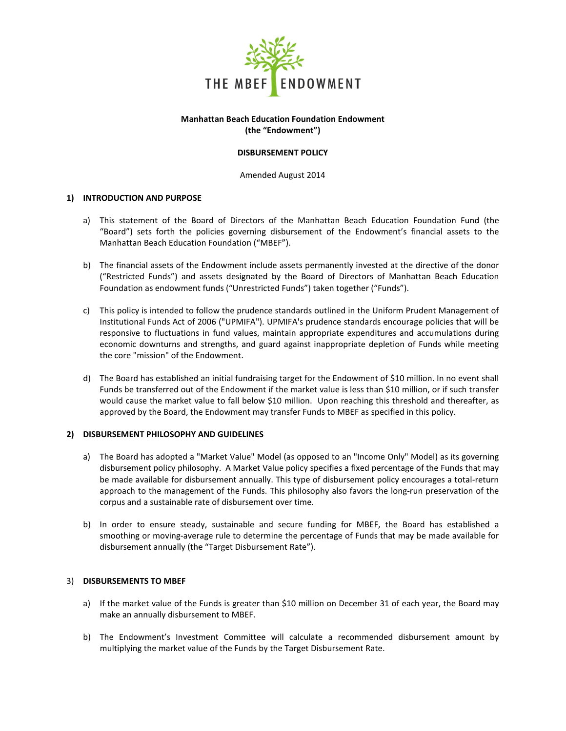

## **Manhattan Beach Education Foundation Endowment (the "Endowment")**

## **DISBURSEMENT POLICY**

Amended August 2014

## **1) INTRODUCTION AND PURPOSE**

- a) This statement of the Board of Directors of the Manhattan Beach Education Foundation Fund (the "Board") sets forth the policies governing disbursement of the Endowment's financial assets to the Manhattan Beach Education Foundation ("MBEF").
- b) The financial assets of the Endowment include assets permanently invested at the directive of the donor ("Restricted Funds") and assets designated by the Board of Directors of Manhattan Beach Education Foundation as endowment funds ("Unrestricted Funds") taken together ("Funds").
- c) This policy is intended to follow the prudence standards outlined in the Uniform Prudent Management of Institutional Funds Act of 2006 ("UPMIFA"). UPMIFA's prudence standards encourage policies that will be responsive to fluctuations in fund values, maintain appropriate expenditures and accumulations during economic downturns and strengths, and guard against inappropriate depletion of Funds while meeting the core "mission" of the Endowment.
- d) The Board has established an initial fundraising target for the Endowment of \$10 million. In no event shall Funds be transferred out of the Endowment if the market value is less than \$10 million, or if such transfer would cause the market value to fall below \$10 million. Upon reaching this threshold and thereafter, as approved by the Board, the Endowment may transfer Funds to MBEF as specified in this policy.

#### **2) DISBURSEMENT PHILOSOPHY AND GUIDELINES**

- a) The Board has adopted a "Market Value" Model (as opposed to an "Income Only" Model) as its governing disbursement policy philosophy. A Market Value policy specifies a fixed percentage of the Funds that may be made available for disbursement annually. This type of disbursement policy encourages a total-return approach to the management of the Funds. This philosophy also favors the long-run preservation of the corpus and a sustainable rate of disbursement over time.
- b) In order to ensure steady, sustainable and secure funding for MBEF, the Board has established a smoothing or moving-average rule to determine the percentage of Funds that may be made available for disbursement annually (the "Target Disbursement Rate").

#### 3) **DISBURSEMENTS TO MBEF**

- a) If the market value of the Funds is greater than \$10 million on December 31 of each year, the Board may make an annually disbursement to MBEF.
- b) The Endowment's Investment Committee will calculate a recommended disbursement amount by multiplying the market value of the Funds by the Target Disbursement Rate.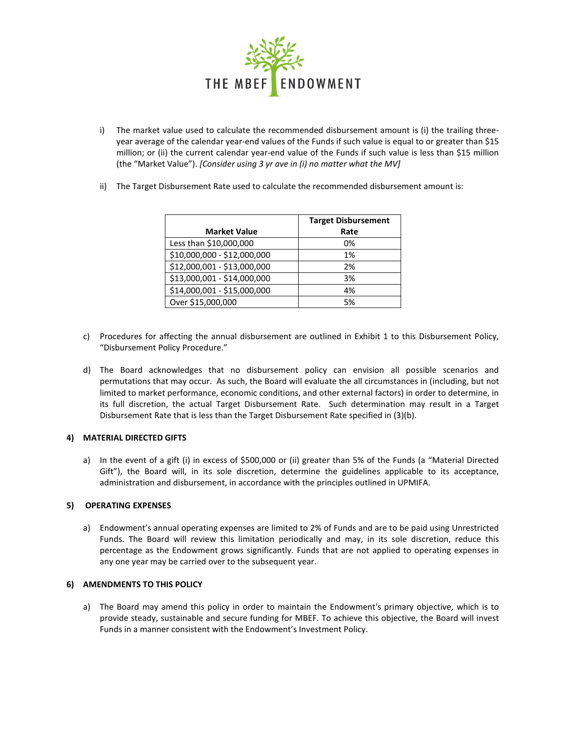

- i) The market value used to calculate the recommended disbursement amount is (i) the trailing threeyear average of the calendar year-end values of the Funds if such value is equal to or greater than \$15 million; or (ii) the current calendar year-end value of the Funds if such value is less than \$15 million (the "Market Value"). *[Consider using 3 yr ave in (i) no matter what the MV]*
- ii) The Target Disbursement Rate used to calculate the recommended disbursement amount is:

|                             | <b>Target Disbursement</b> |
|-----------------------------|----------------------------|
| <b>Market Value</b>         | Rate                       |
| Less than \$10,000,000      | 0%                         |
| \$10,000,000 - \$12,000,000 | 1%                         |
| \$12,000,001 - \$13,000,000 | 2%                         |
| \$13,000,001 - \$14,000,000 | 3%                         |
| \$14,000,001 - \$15,000,000 | 4%                         |
| Over \$15,000,000           | 5%                         |

- c) Procedures for affecting the annual disbursement are outlined in Exhibit 1 to this Disbursement Policy, "Disbursement Policy Procedure."
- d) The Board acknowledges that no disbursement policy can envision all possible scenarios and permutations that may occur. As such, the Board will evaluate the all circumstances in (including, but not limited to market performance, economic conditions, and other external factors) in order to determine, in its full discretion, the actual Target Disbursement Rate. Such determination may result in a Target Disbursement Rate that is less than the Target Disbursement Rate specified in (3)(b).

# **4) MATERIAL DIRECTED GIFTS**

a) In the event of a gift (i) in excess of \$500,000 or (ii) greater than 5% of the Funds (a "Material Directed Gift"), the Board will, in its sole discretion, determine the guidelines applicable to its acceptance, administration and disbursement, in accordance with the principles outlined in UPMIFA.

#### **5) OPERATING EXPENSES**

a) Endowment's annual operating expenses are limited to 2% of Funds and are to be paid using Unrestricted Funds. The Board will review this limitation periodically and may, in its sole discretion, reduce this percentage as the Endowment grows significantly. Funds that are not applied to operating expenses in any one year may be carried over to the subsequent year.

# **6) AMENDMENTS TO THIS POLICY**

a) The Board may amend this policy in order to maintain the Endowment's primary objective, which is to provide steady, sustainable and secure funding for MBEF. To achieve this objective, the Board will invest Funds in a manner consistent with the Endowment's Investment Policy.